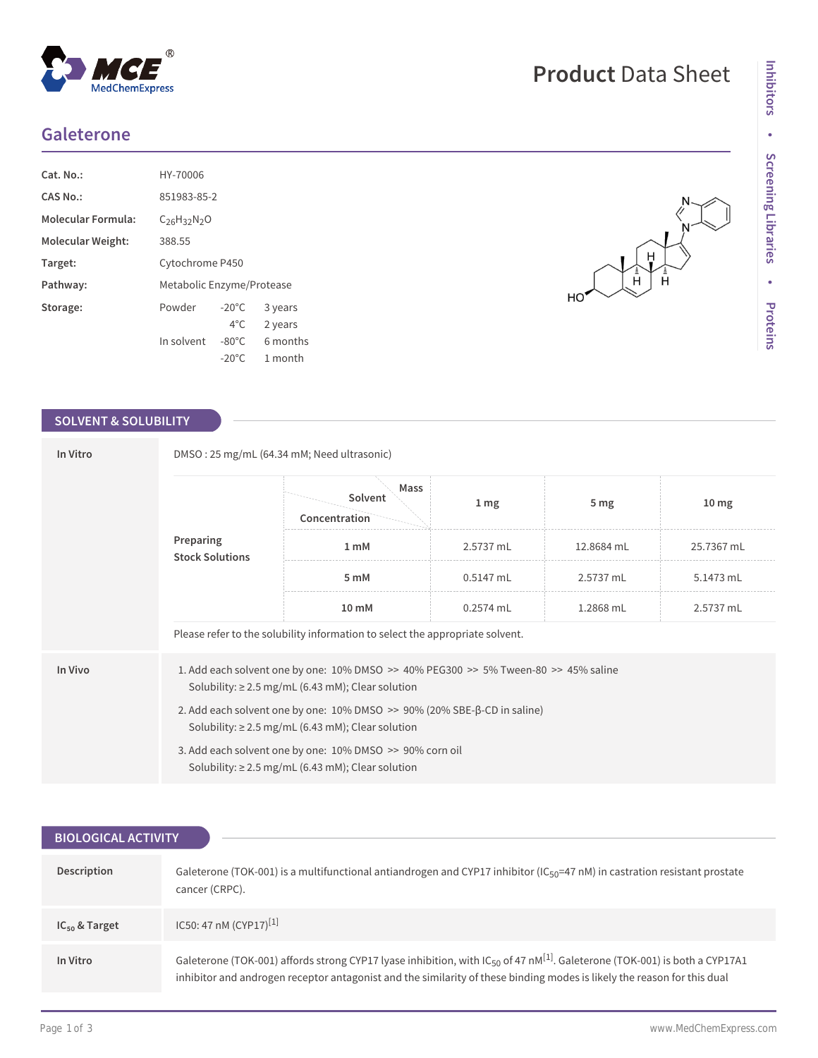## **Galeterone**

| $Cat. No.$ :       | HY-70006                  |                 |          |  |
|--------------------|---------------------------|-----------------|----------|--|
| CAS No.:           | 851983-85-2               |                 |          |  |
| Molecular Formula: | $C26H32N2O$               |                 |          |  |
| Molecular Weight:  | 388.55                    |                 |          |  |
| Target:            | Cytochrome P450           |                 |          |  |
| Pathway:           | Metabolic Enzyme/Protease |                 |          |  |
| Storage:           | Powder                    | $-20^{\circ}$ C | 3 years  |  |
|                    |                           | $4^{\circ}$ C   | 2 years  |  |
|                    | In solvent                | $-80^{\circ}$ C | 6 months |  |
|                    |                           | $-20^{\circ}$ C | 1 month  |  |

 $^{\circledR}$ 

MedChemExpress

### **SOLVENT & SOLUBILITY**

| In Vitro                                                                                                                                                 | DMSO: 25 mg/mL (64.34 mM; Need ultrasonic)                                                                                         |                                                                               |                  |                 |                  |  |  |
|----------------------------------------------------------------------------------------------------------------------------------------------------------|------------------------------------------------------------------------------------------------------------------------------------|-------------------------------------------------------------------------------|------------------|-----------------|------------------|--|--|
|                                                                                                                                                          |                                                                                                                                    | Mass<br>Solvent<br>Concentration                                              | $1 \, \text{mg}$ | 5 <sub>mg</sub> | 10 <sub>mg</sub> |  |  |
|                                                                                                                                                          | Preparing<br><b>Stock Solutions</b>                                                                                                | 1 mM                                                                          | 2.5737 mL        | 12.8684 mL      | 25.7367 mL       |  |  |
|                                                                                                                                                          |                                                                                                                                    | 5 mM                                                                          | $0.5147$ mL      | 2.5737 mL       | 5.1473 mL        |  |  |
|                                                                                                                                                          |                                                                                                                                    | 10 mM                                                                         | $0.2574$ mL      | 1.2868 mL       | 2.5737 mL        |  |  |
|                                                                                                                                                          |                                                                                                                                    | Please refer to the solubility information to select the appropriate solvent. |                  |                 |                  |  |  |
| In Vivo<br>1. Add each solvent one by one: 10% DMSO >> 40% PEG300 >> 5% Tween-80 >> 45% saline<br>Solubility: $\geq$ 2.5 mg/mL (6.43 mM); Clear solution |                                                                                                                                    |                                                                               |                  |                 |                  |  |  |
|                                                                                                                                                          | 2. Add each solvent one by one: 10% DMSO >> 90% (20% SBE-β-CD in saline)<br>Solubility: $\geq$ 2.5 mg/mL (6.43 mM); Clear solution |                                                                               |                  |                 |                  |  |  |
|                                                                                                                                                          | 3. Add each solvent one by one: 10% DMSO >> 90% corn oil<br>Solubility: $\geq$ 2.5 mg/mL (6.43 mM); Clear solution                 |                                                                               |                  |                 |                  |  |  |

| <b>BIOLOGICAL ACTIVITY</b> |                                                                                                                                                                                                                                                                               |  |  |  |
|----------------------------|-------------------------------------------------------------------------------------------------------------------------------------------------------------------------------------------------------------------------------------------------------------------------------|--|--|--|
|                            |                                                                                                                                                                                                                                                                               |  |  |  |
| Description                | Galeterone (TOK-001) is a multifunctional antiandrogen and CYP17 inhibitor (IC <sub>50</sub> =47 nM) in castration resistant prostate<br>cancer (CRPC).                                                                                                                       |  |  |  |
| $IC_{50}$ & Target         | IC50: 47 nM (CYP17) <sup>[1]</sup>                                                                                                                                                                                                                                            |  |  |  |
| In Vitro                   | Galeterone (TOK-001) affords strong CYP17 lyase inhibition, with IC <sub>50</sub> of 47 nM <sup>[1]</sup> . Galeterone (TOK-001) is both a CYP17A1<br>inhibitor and androgen receptor antagonist and the similarity of these binding modes is likely the reason for this dual |  |  |  |

# **Product** Data Sheet

Ĥ

 $HO$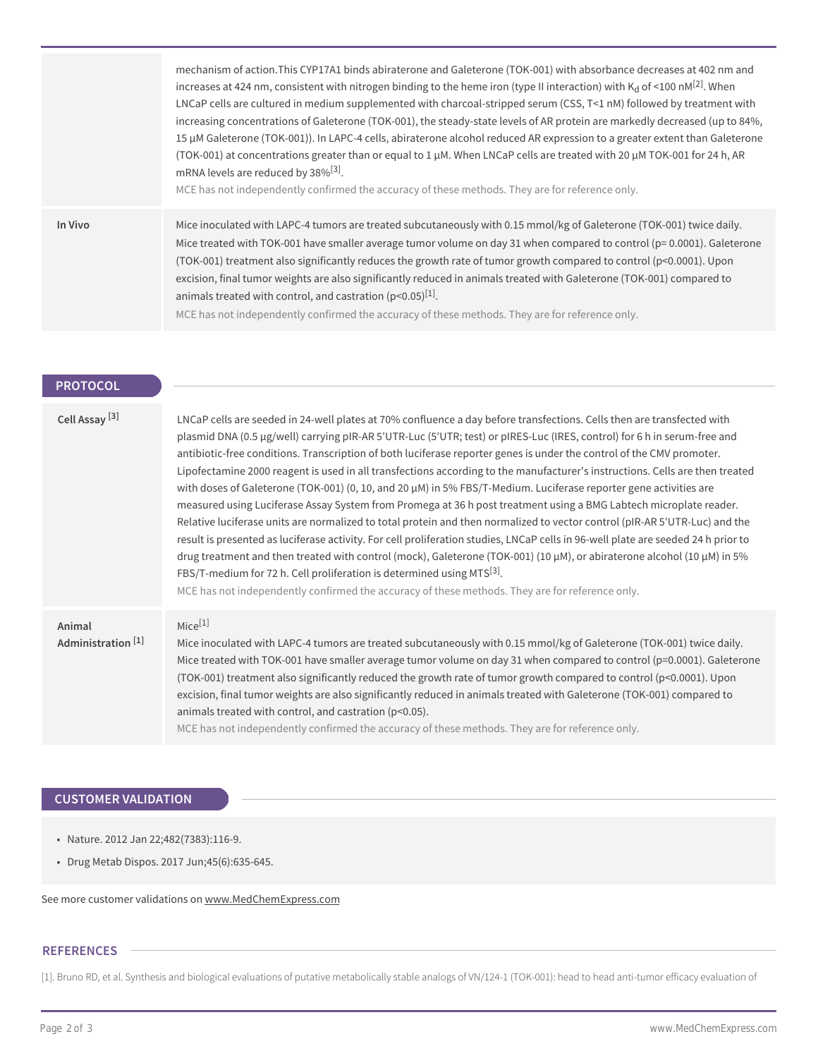|         | mechanism of action. This CYP17A1 binds abiraterone and Galeterone (TOK-001) with absorbance decreases at 402 nm and<br>increases at 424 nm, consistent with nitrogen binding to the heme iron (type II interaction) with K <sub>d</sub> of <100 nM <sup>[2]</sup> . When<br>LNCaP cells are cultured in medium supplemented with charcoal-stripped serum (CSS, T<1 nM) followed by treatment with<br>increasing concentrations of Galeterone (TOK-001), the steady-state levels of AR protein are markedly decreased (up to 84%,<br>15 µM Galeterone (TOK-001)). In LAPC-4 cells, abiraterone alcohol reduced AR expression to a greater extent than Galeterone<br>(TOK-001) at concentrations greater than or equal to 1 µM. When LNCaP cells are treated with 20 µM TOK-001 for 24 h, AR<br>mRNA levels are reduced by 38% <sup>[3]</sup> .<br>MCE has not independently confirmed the accuracy of these methods. They are for reference only. |
|---------|---------------------------------------------------------------------------------------------------------------------------------------------------------------------------------------------------------------------------------------------------------------------------------------------------------------------------------------------------------------------------------------------------------------------------------------------------------------------------------------------------------------------------------------------------------------------------------------------------------------------------------------------------------------------------------------------------------------------------------------------------------------------------------------------------------------------------------------------------------------------------------------------------------------------------------------------------|
| In Vivo | Mice inoculated with LAPC-4 tumors are treated subcutaneously with 0.15 mmol/kg of Galeterone (TOK-001) twice daily.<br>Mice treated with TOK-001 have smaller average tumor volume on day 31 when compared to control (p= 0.0001). Galeterone<br>(TOK-001) treatment also significantly reduces the growth rate of tumor growth compared to control (p<0.0001). Upon<br>excision, final tumor weights are also significantly reduced in animals treated with Galeterone (TOK-001) compared to<br>animals treated with control, and castration $(p<0.05)^{[1]}$ .<br>MCE has not independently confirmed the accuracy of these methods. They are for reference only.                                                                                                                                                                                                                                                                              |

| <b>PROTOCOL</b> |  |  |  |  |
|-----------------|--|--|--|--|
|                 |  |  |  |  |
|                 |  |  |  |  |

| Cell Assay <sup>[3]</sup>               | LNCaP cells are seeded in 24-well plates at 70% confluence a day before transfections. Cells then are transfected with<br>plasmid DNA (0.5 µg/well) carrying pIR-AR 5'UTR-Luc (5'UTR; test) or pIRES-Luc (IRES, control) for 6 h in serum-free and<br>antibiotic-free conditions. Transcription of both luciferase reporter genes is under the control of the CMV promoter.<br>Lipofectamine 2000 reagent is used in all transfections according to the manufacturer's instructions. Cells are then treated<br>with doses of Galeterone (TOK-001) (0, 10, and 20 μM) in 5% FBS/T-Medium. Luciferase reporter gene activities are<br>measured using Luciferase Assay System from Promega at 36 h post treatment using a BMG Labtech microplate reader.<br>Relative luciferase units are normalized to total protein and then normalized to vector control (pIR-AR 5'UTR-Luc) and the<br>result is presented as luciferase activity. For cell proliferation studies, LNCaP cells in 96-well plate are seeded 24 h prior to<br>drug treatment and then treated with control (mock), Galeterone (TOK-001) (10 $\mu$ M), or abiraterone alcohol (10 $\mu$ M) in 5%<br>FBS/T-medium for 72 h. Cell proliferation is determined using MTS <sup>[3]</sup> .<br>MCE has not independently confirmed the accuracy of these methods. They are for reference only. |
|-----------------------------------------|--------------------------------------------------------------------------------------------------------------------------------------------------------------------------------------------------------------------------------------------------------------------------------------------------------------------------------------------------------------------------------------------------------------------------------------------------------------------------------------------------------------------------------------------------------------------------------------------------------------------------------------------------------------------------------------------------------------------------------------------------------------------------------------------------------------------------------------------------------------------------------------------------------------------------------------------------------------------------------------------------------------------------------------------------------------------------------------------------------------------------------------------------------------------------------------------------------------------------------------------------------------------------------------------------------------------------------------------------------|
| Animal<br>Administration <sup>[1]</sup> | $Mice^{[1]}$<br>Mice inoculated with LAPC-4 tumors are treated subcutaneously with 0.15 mmol/kg of Galeterone (TOK-001) twice daily.<br>Mice treated with TOK-001 have smaller average tumor volume on day 31 when compared to control (p=0.0001). Galeterone<br>(TOK-001) treatment also significantly reduced the growth rate of tumor growth compared to control (p<0.0001). Upon<br>excision, final tumor weights are also significantly reduced in animals treated with Galeterone (TOK-001) compared to<br>animals treated with control, and castration (p<0.05).<br>MCE has not independently confirmed the accuracy of these methods. They are for reference only.                                                                                                                                                                                                                                                                                                                                                                                                                                                                                                                                                                                                                                                                             |

### **CUSTOMER VALIDATION**

- Nature. 2012 Jan 22;482(7383):116-9.
- Drug Metab Dispos. 2017 Jun;45(6):635-645.

See more customer validations on<www.MedChemExpress.com>

#### **REFERENCES**

[1]. Bruno RD, et al. Synthesis and biological evaluations of putative metabolically stable analogs of VN/124-1 (TOK-001): head to head anti-tumor efficacy evaluation of